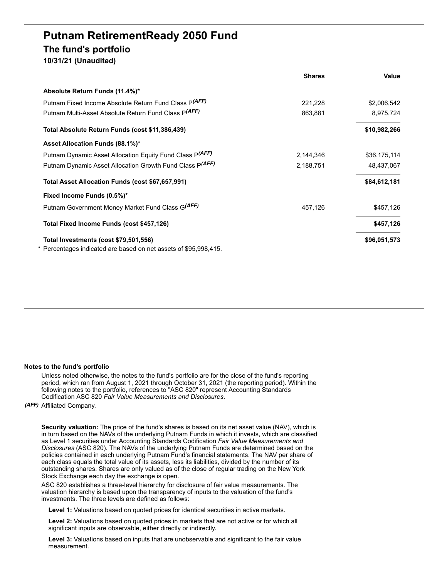# **Putnam RetirementReady 2050 Fund The fund's portfolio 10/31/21 (Unaudited)**

|                                                                  | <b>Shares</b> | Value        |
|------------------------------------------------------------------|---------------|--------------|
| Absolute Return Funds (11.4%)*                                   |               |              |
| Putnam Fixed Income Absolute Return Fund Class P(AFF)            | 221,228       | \$2,006,542  |
| Putnam Multi-Asset Absolute Return Fund Class P(AFF)             | 863,881       | 8,975,724    |
| Total Absolute Return Funds (cost \$11,386,439)                  |               | \$10,982,266 |
| Asset Allocation Funds (88.1%)*                                  |               |              |
| Putnam Dynamic Asset Allocation Equity Fund Class P(AFF)         | 2,144,346     | \$36,175,114 |
| Putnam Dynamic Asset Allocation Growth Fund Class P(AFF)         | 2,188,751     | 48,437,067   |
| Total Asset Allocation Funds (cost \$67,657,991)                 |               | \$84,612,181 |
| Fixed Income Funds (0.5%)*                                       |               |              |
| Putnam Government Money Market Fund Class G(AFF)                 | 457,126       | \$457,126    |
| Total Fixed Income Funds (cost \$457,126)                        |               | \$457,126    |
| Total Investments (cost \$79,501,556)                            |               | \$96,051,573 |
| * Percentages indicated are based on net assets of \$95,998,415. |               |              |

#### **Notes to the fund's portfolio**

Unless noted otherwise, the notes to the fund's portfolio are for the close of the fund's reporting period, which ran from August 1, 2021 through October 31, 2021 (the reporting period). Within the following notes to the portfolio, references to "ASC 820" represent Accounting Standards Codification ASC 820 *Fair Value Measurements and Disclosures*.

## *(AFF)* Affiliated Company.

**Security valuation:** The price of the fund's shares is based on its net asset value (NAV), which is in turn based on the NAVs of the underlying Putnam Funds in which it invests, which are classified as Level 1 securities under Accounting Standards Codification *Fair Value Measurements and Disclosures* (ASC 820). The NAVs of the underlying Putnam Funds are determined based on the policies contained in each underlying Putnam Fund's financial statements. The NAV per share of each class equals the total value of its assets, less its liabilities, divided by the number of its outstanding shares. Shares are only valued as of the close of regular trading on the New York Stock Exchange each day the exchange is open.

ASC 820 establishes a three-level hierarchy for disclosure of fair value measurements. The valuation hierarchy is based upon the transparency of inputs to the valuation of the fund's investments. The three levels are defined as follows:

**Level 1:** Valuations based on quoted prices for identical securities in active markets.

**Level 2:** Valuations based on quoted prices in markets that are not active or for which all significant inputs are observable, either directly or indirectly.

**Level 3:** Valuations based on inputs that are unobservable and significant to the fair value measurement.